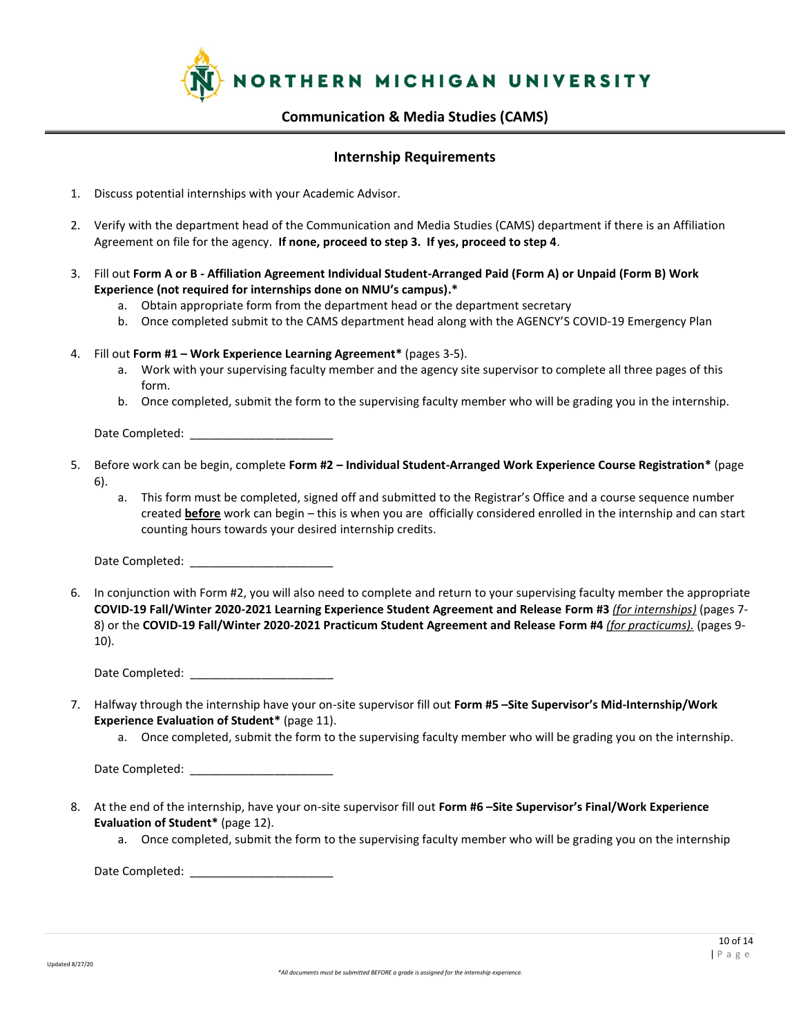

### **Internship Requirements**

- 1. Discuss potential internships with your Academic Advisor.
- 2. Verify with the department head of the Communication and Media Studies (CAMS) department if there is an Affiliation Agreement on file for the agency. **If none, proceed to step 3. If yes, proceed to step 4**.
- 3. Fill out **Form A or B - Affiliation Agreement Individual Student-Arranged Paid (Form A) or Unpaid (Form B) Work Experience (not required for internships done on NMU's campus).\***
	- a. Obtain appropriate form from the department head or the department secretary
	- b. Once completed submit to the CAMS department head along with the AGENCY'S COVID-19 Emergency Plan
- 4. Fill out **Form #1 – Work Experience Learning Agreement\*** (pages 3-5).
	- a. Work with your supervising faculty member and the agency site supervisor to complete all three pages of this form.
	- b. Once completed, submit the form to the supervising faculty member who will be grading you in the internship.

Date Completed:  $\Box$ 

- 5. Before work can be begin, complete **Form #2 – Individual Student-Arranged Work Experience Course Registration\*** (page 6).
	- a. This form must be completed, signed off and submitted to the Registrar's Office and a course sequence number created **before** work can begin – this is when you are officially considered enrolled in the internship and can start counting hours towards your desired internship credits.

Date Completed:

6. In conjunction with Form #2, you will also need to complete and return to your supervising faculty member the appropriate **COVID-19 Fall/Winter 2020-2021 Learning Experience Student Agreement and Release Form #3** *(for internships)* (pages 7- 8) or the **COVID-19 Fall/Winter 2020-2021 Practicum Student Agreement and Release Form #4** *(for practicums).* (pages 9- 10).

Date Completed:

- 7. Halfway through the internship have your on-site supervisor fill out **Form #5 –Site Supervisor's Mid-Internship/Work Experience Evaluation of Student\*** (page 11).
	- a. Once completed, submit the form to the supervising faculty member who will be grading you on the internship.

Date Completed: \_\_\_\_\_\_\_\_\_\_\_\_\_\_\_\_\_\_\_\_\_\_

- 8. At the end of the internship, have your on-site supervisor fill out **Form #6 –Site Supervisor's Final/Work Experience Evaluation of Student\*** (page 12).
	- a. Once completed, submit the form to the supervising faculty member who will be grading you on the internship

Date Completed: \_\_\_\_\_\_\_\_\_\_\_\_\_\_\_\_\_\_\_\_\_\_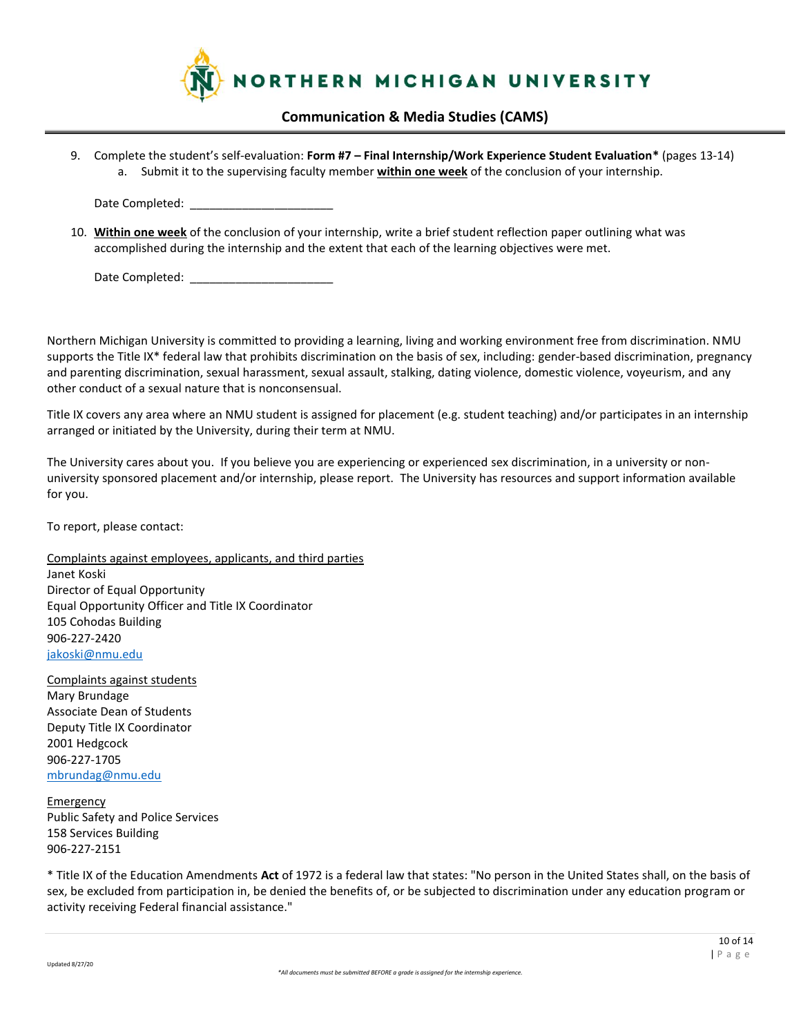

9. Complete the student's self-evaluation: **Form #7 – Final Internship/Work Experience Student Evaluation\*** (pages 13-14) a. Submit it to the supervising faculty member **within one week** of the conclusion of your internship.

Date Completed:

10. **Within one week** of the conclusion of your internship, write a brief student reflection paper outlining what was accomplished during the internship and the extent that each of the learning objectives were met.

Date Completed: \_\_\_\_\_\_\_\_\_\_\_\_\_\_\_\_\_\_\_\_\_\_

Northern Michigan University is committed to providing a learning, living and working environment free from discrimination. NMU supports the Title IX\* federal law that prohibits discrimination on the basis of sex, including: gender-based discrimination, pregnancy and parenting discrimination, sexual harassment, sexual assault, stalking, dating violence, domestic violence, voyeurism, and any other conduct of a sexual nature that is nonconsensual.

Title IX covers any area where an NMU student is assigned for placement (e.g. student teaching) and/or participates in an internship arranged or initiated by the University, during their term at NMU.

The University cares about you. If you believe you are experiencing or experienced sex discrimination, in a university or nonuniversity sponsored placement and/or internship, please report. The University has resources and support information available for you.

To report, please contact:

Complaints against employees, applicants, and third parties Janet Koski Director of Equal Opportunity Equal Opportunity Officer and Title IX Coordinator 105 Cohodas Building 906-227-2420 [jakoski@nmu.edu](about:blank)

Complaints against students Mary Brundage Associate Dean of Students Deputy Title IX Coordinator 2001 Hedgcock 906-227-1705 [mbrundag@nmu.edu](about:blank)

**Emergency** Public Safety and Police Services 158 Services Building 906-227-2151

\* Title IX of the Education Amendments **Act** of 1972 is a federal law that states: "No person in the United States shall, on the basis of sex, be excluded from participation in, be denied the benefits of, or be subjected to discrimination under any education program or activity receiving Federal financial assistance."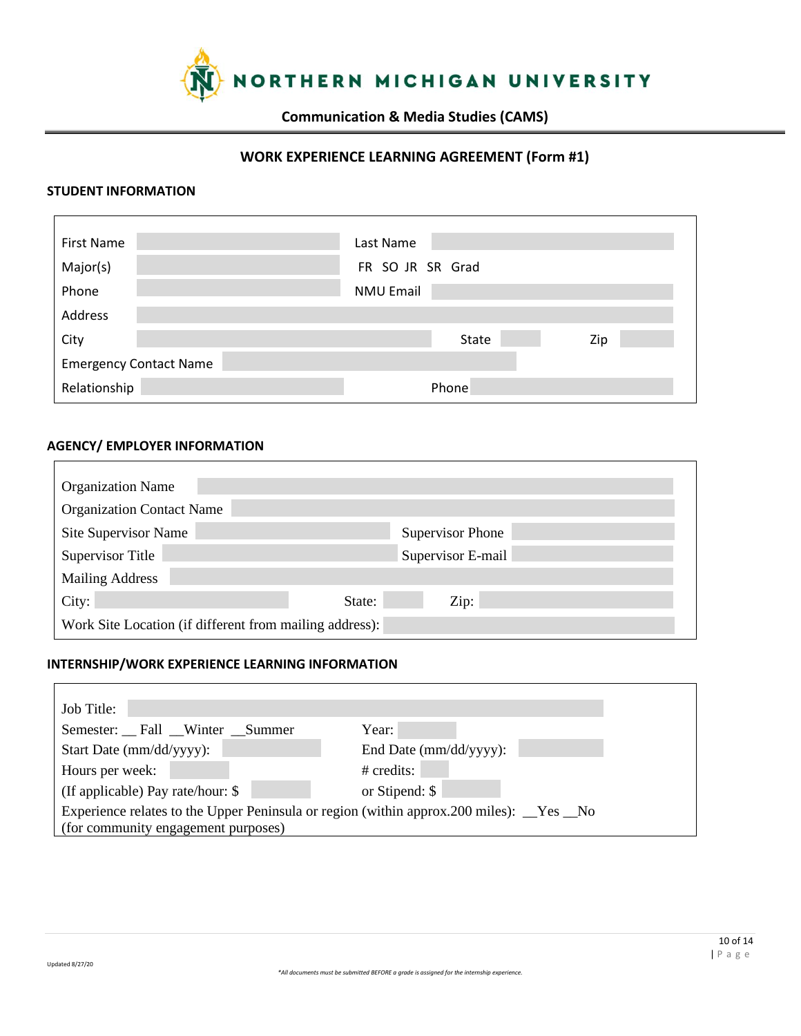

# **WORK EXPERIENCE LEARNING AGREEMENT (Form #1)**

### **STUDENT INFORMATION**

| <b>First Name</b>             | Last Name        |
|-------------------------------|------------------|
| Major(s)                      | FR SO JR SR Grad |
| Phone                         | <b>NMU Email</b> |
| Address                       |                  |
| City                          | State<br>Zip     |
| <b>Emergency Contact Name</b> |                  |
| Relationship                  | Phone            |

#### **AGENCY/ EMPLOYER INFORMATION**

| <b>Organization Name</b>                                |                         |  |
|---------------------------------------------------------|-------------------------|--|
| <b>Organization Contact Name</b>                        |                         |  |
| Site Supervisor Name                                    | <b>Supervisor Phone</b> |  |
| <b>Supervisor Title</b>                                 | Supervisor E-mail       |  |
| <b>Mailing Address</b>                                  |                         |  |
| City:                                                   | State:<br>Zip:          |  |
| Work Site Location (if different from mailing address): |                         |  |

## **INTERNSHIP/WORK EXPERIENCE LEARNING INFORMATION**

| Job Title:                          |                                                                                       |
|-------------------------------------|---------------------------------------------------------------------------------------|
| Semester: Fall Winter Summer        | Year:                                                                                 |
| Start Date (mm/dd/yyyy):            | End Date (mm/dd/yyyy):                                                                |
| Hours per week:                     | $#$ credits:                                                                          |
| (If applicable) Pay rate/hour: \$   | or Stipend: \$                                                                        |
|                                     | Experience relates to the Upper Peninsula or region (within approx.200 miles): Yes No |
| (for community engagement purposes) |                                                                                       |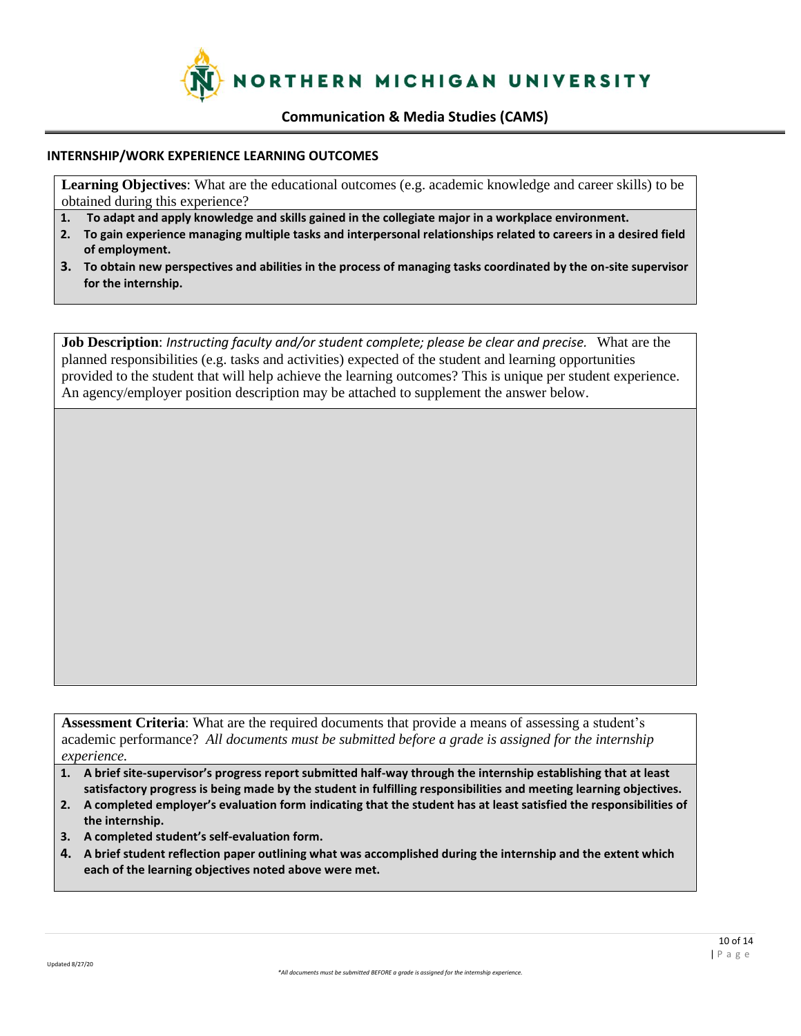

#### **INTERNSHIP/WORK EXPERIENCE LEARNING OUTCOMES**

**Learning Objectives**: What are the educational outcomes (e.g. academic knowledge and career skills) to be obtained during this experience?

- **1. To adapt and apply knowledge and skills gained in the collegiate major in a workplace environment.**
- **2. To gain experience managing multiple tasks and interpersonal relationships related to careers in a desired field of employment.**
- **3. To obtain new perspectives and abilities in the process of managing tasks coordinated by the on-site supervisor for the internship.**

**Job Description**: *Instructing faculty and/or student complete; please be clear and precise.* What are the planned responsibilities (e.g. tasks and activities) expected of the student and learning opportunities provided to the student that will help achieve the learning outcomes? This is unique per student experience. An agency/employer position description may be attached to supplement the answer below.

**Assessment Criteria**: What are the required documents that provide a means of assessing a student's academic performance? *All documents must be submitted before a grade is assigned for the internship experience.*

- **1. A brief site-supervisor's progress report submitted half-way through the internship establishing that at least satisfactory progress is being made by the student in fulfilling responsibilities and meeting learning objectives.**
- **2. A completed employer's evaluation form indicating that the student has at least satisfied the responsibilities of the internship.**
- **3. A completed student's self-evaluation form.**
- **4. A brief student reflection paper outlining what was accomplished during the internship and the extent which each of the learning objectives noted above were met.**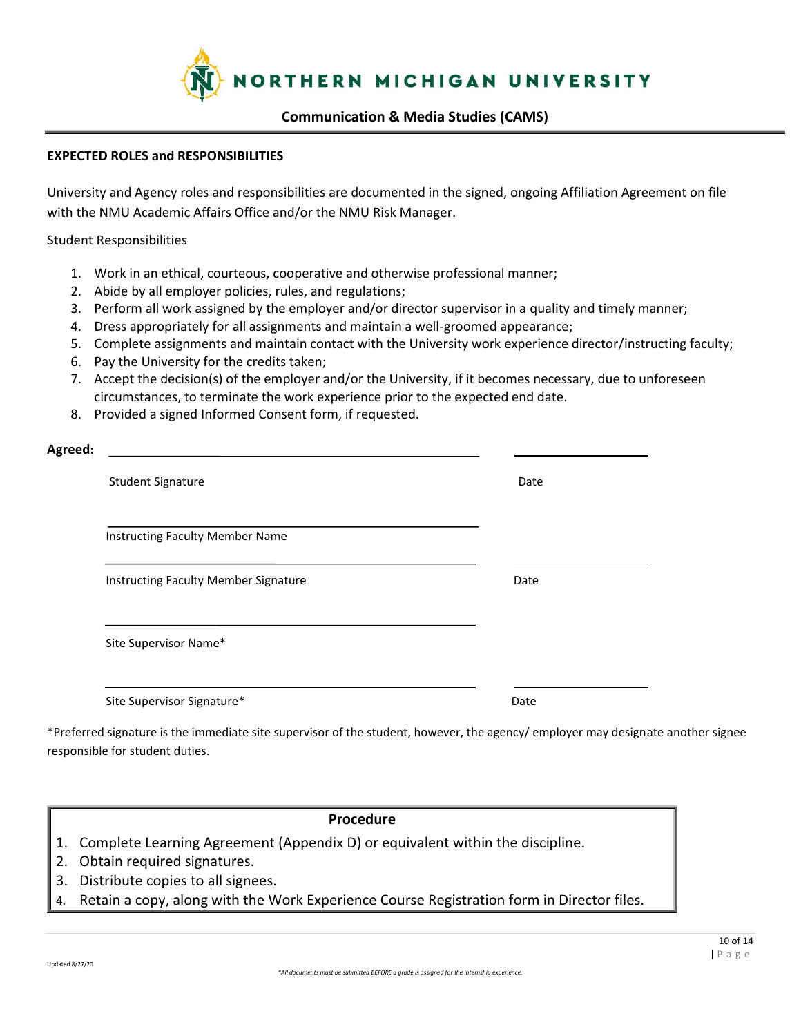

#### **EXPECTED ROLES and RESPONSIBILITIES**

University and Agency roles and responsibilities are documented in the signed, ongoing Affiliation Agreement on file with the NMU Academic Affairs Office and/or the NMU Risk Manager.

Student Responsibilities

- 1. Work in an ethical, courteous, cooperative and otherwise professional manner;
- 2. Abide by all employer policies, rules, and regulations;
- 3. Perform all work assigned by the employer and/or director supervisor in a quality and timely manner;
- 4. Dress appropriately for all assignments and maintain a well-groomed appearance;
- 5. Complete assignments and maintain contact with the University work experience director/instructing faculty;
- 6. Pay the University for the credits taken;
- 7. Accept the decision(s) of the employer and/or the University, if it becomes necessary, due to unforeseen circumstances, to terminate the work experience prior to the expected end date.
- 8. Provided a signed Informed Consent form, if requested.

| Agreed:                                |      |
|----------------------------------------|------|
| <b>Student Signature</b>               | Date |
| <b>Instructing Faculty Member Name</b> |      |
| Instructing Faculty Member Signature   | Date |
| Site Supervisor Name*                  |      |
| Site Supervisor Signature*             | Date |

\*Preferred signature is the immediate site supervisor of the student, however, the agency/ employer may designate another signee responsible for student duties.

### **Procedure**

- 1. Complete Learning Agreement (Appendix D) or equivalent within the discipline.
- 2. Obtain required signatures.
- 3. Distribute copies to all signees.
- 4. Retain a copy, along with the Work Experience Course Registration form in Director files.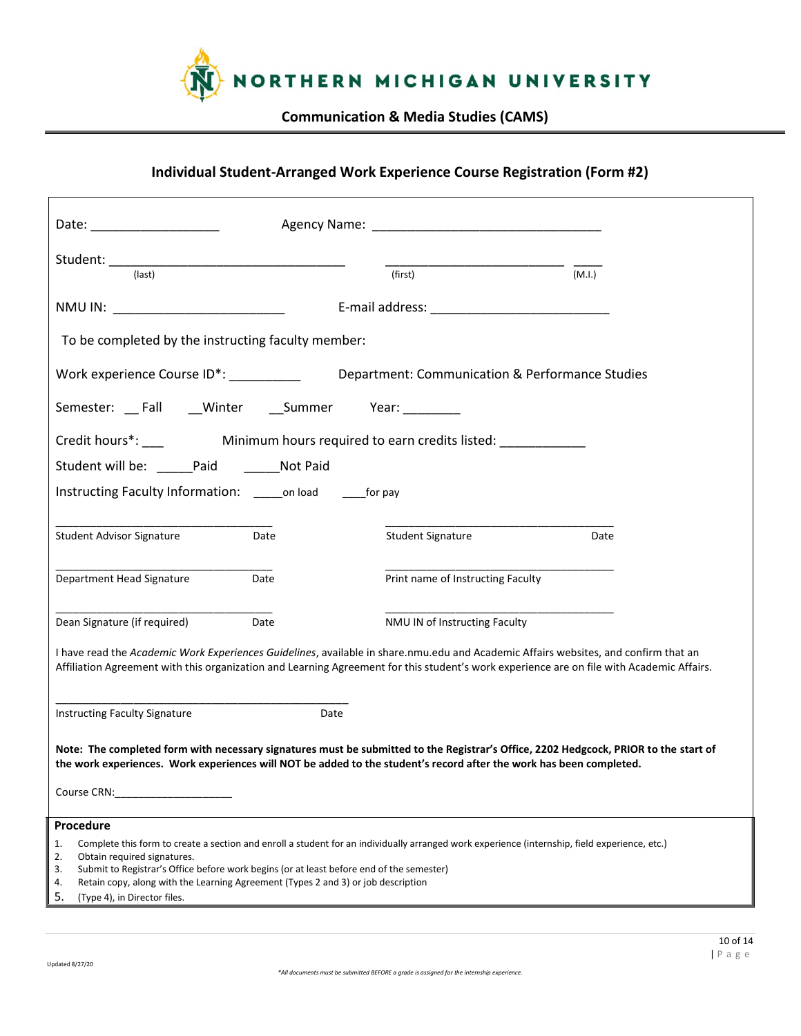

# **Individual Student-Arranged Work Experience Course Registration (Form #2)**

| Date: Date:                                                                                                                                                                                                                    |                                                                                                                                                                                                                                                                                  |        |
|--------------------------------------------------------------------------------------------------------------------------------------------------------------------------------------------------------------------------------|----------------------------------------------------------------------------------------------------------------------------------------------------------------------------------------------------------------------------------------------------------------------------------|--------|
|                                                                                                                                                                                                                                |                                                                                                                                                                                                                                                                                  |        |
| $\frac{1}{\text{(last)}}$                                                                                                                                                                                                      | (first)                                                                                                                                                                                                                                                                          | (M.I.) |
| NMU IN: NAME AND THE RESERVE AND THE RESERVE AND THE RESERVE AND THE RESERVE AND THE RESERVE AND THE RESERVE AND THE RESERVE AND THE RESERVE AND THE RESERVE AND THE RESERVE AND THE RESERVE AND THE RESERVE AND THE RESERVE A |                                                                                                                                                                                                                                                                                  |        |
| To be completed by the instructing faculty member:                                                                                                                                                                             |                                                                                                                                                                                                                                                                                  |        |
|                                                                                                                                                                                                                                | Work experience Course ID*: _____________________Department: Communication & Performance Studies                                                                                                                                                                                 |        |
| Semester: Fall __Winter __Summer Year: _______                                                                                                                                                                                 |                                                                                                                                                                                                                                                                                  |        |
|                                                                                                                                                                                                                                |                                                                                                                                                                                                                                                                                  |        |
| Student will be: Paid Not Paid                                                                                                                                                                                                 |                                                                                                                                                                                                                                                                                  |        |
| Instructing Faculty Information: conload compay                                                                                                                                                                                |                                                                                                                                                                                                                                                                                  |        |
| Student Advisor Signature<br>Date                                                                                                                                                                                              | Student Signature                                                                                                                                                                                                                                                                | Date   |
| Department Head Signature<br>Date                                                                                                                                                                                              | Print name of Instructing Faculty                                                                                                                                                                                                                                                |        |
| Dean Signature (if required)<br>Date                                                                                                                                                                                           | NMU IN of Instructing Faculty                                                                                                                                                                                                                                                    |        |
|                                                                                                                                                                                                                                | I have read the Academic Work Experiences Guidelines, available in share.nmu.edu and Academic Affairs websites, and confirm that an<br>Affiliation Agreement with this organization and Learning Agreement for this student's work experience are on file with Academic Affairs. |        |
| <b>Instructing Faculty Signature</b>                                                                                                                                                                                           | Date                                                                                                                                                                                                                                                                             |        |
|                                                                                                                                                                                                                                | Note: The completed form with necessary signatures must be submitted to the Registrar's Office, 2202 Hedgcock, PRIOR to the start of<br>the work experiences. Work experiences will NOT be added to the student's record after the work has been completed.                      |        |
| Course CRN:                                                                                                                                                                                                                    |                                                                                                                                                                                                                                                                                  |        |
| Procedure                                                                                                                                                                                                                      |                                                                                                                                                                                                                                                                                  |        |
| 1.<br>2.<br>Obtain required signatures.                                                                                                                                                                                        | Complete this form to create a section and enroll a student for an individually arranged work experience (internship, field experience, etc.)                                                                                                                                    |        |
| Submit to Registrar's Office before work begins (or at least before end of the semester)<br>3.<br>Retain copy, along with the Learning Agreement (Types 2 and 3) or job description<br>4.                                      |                                                                                                                                                                                                                                                                                  |        |
| 5.<br>(Type 4), in Director files.                                                                                                                                                                                             |                                                                                                                                                                                                                                                                                  |        |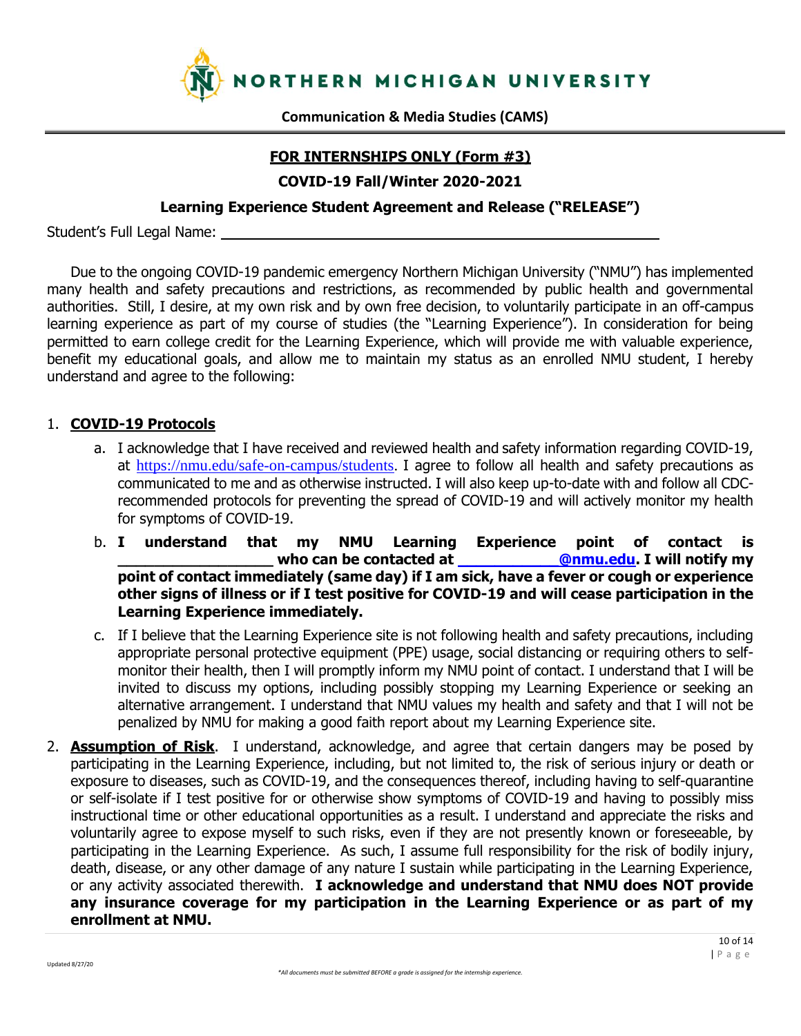

# **FOR INTERNSHIPS ONLY (Form #3)**

**COVID-19 Fall/Winter 2020-2021**

## **Learning Experience Student Agreement and Release ("RELEASE")**

Student's Full Legal Name:

Due to the ongoing COVID-19 pandemic emergency Northern Michigan University ("NMU") has implemented many health and safety precautions and restrictions, as recommended by public health and governmental authorities. Still, I desire, at my own risk and by own free decision, to voluntarily participate in an off-campus learning experience as part of my course of studies (the "Learning Experience"). In consideration for being permitted to earn college credit for the Learning Experience, which will provide me with valuable experience, benefit my educational goals, and allow me to maintain my status as an enrolled NMU student, I hereby understand and agree to the following:

# 1. **COVID-19 Protocols**

- a. I acknowledge that I have received and reviewed health and safety information regarding COVID-19, at https://nmu.edu/safe-on-campus/students. I agree to follow all health and safety precautions as communicated to me and as otherwise instructed. I will also keep up-to-date with and follow all CDCrecommended protocols for preventing the spread of COVID-19 and will actively monitor my health for symptoms of COVID-19.
- b. **I understand that my NMU Learning Experience point of contact is \_\_\_\_\_\_\_\_\_\_\_\_\_\_\_\_\_ who can be contacted at \_\_\_\_\_\_\_\_\_\_\_@nmu.edu. I will notify my point of contact immediately (same day) if I am sick, have a fever or cough or experience other signs of illness or if I test positive for COVID-19 and will cease participation in the Learning Experience immediately.**
- c. If I believe that the Learning Experience site is not following health and safety precautions, including appropriate personal protective equipment (PPE) usage, social distancing or requiring others to selfmonitor their health, then I will promptly inform my NMU point of contact. I understand that I will be invited to discuss my options, including possibly stopping my Learning Experience or seeking an alternative arrangement. I understand that NMU values my health and safety and that I will not be penalized by NMU for making a good faith report about my Learning Experience site.
- 2. **Assumption of Risk**. I understand, acknowledge, and agree that certain dangers may be posed by participating in the Learning Experience, including, but not limited to, the risk of serious injury or death or exposure to diseases, such as COVID-19, and the consequences thereof, including having to self-quarantine or self-isolate if I test positive for or otherwise show symptoms of COVID-19 and having to possibly miss instructional time or other educational opportunities as a result. I understand and appreciate the risks and voluntarily agree to expose myself to such risks, even if they are not presently known or foreseeable, by participating in the Learning Experience. As such, I assume full responsibility for the risk of bodily injury, death, disease, or any other damage of any nature I sustain while participating in the Learning Experience, or any activity associated therewith. **I acknowledge and understand that NMU does NOT provide any insurance coverage for my participation in the Learning Experience or as part of my enrollment at NMU.**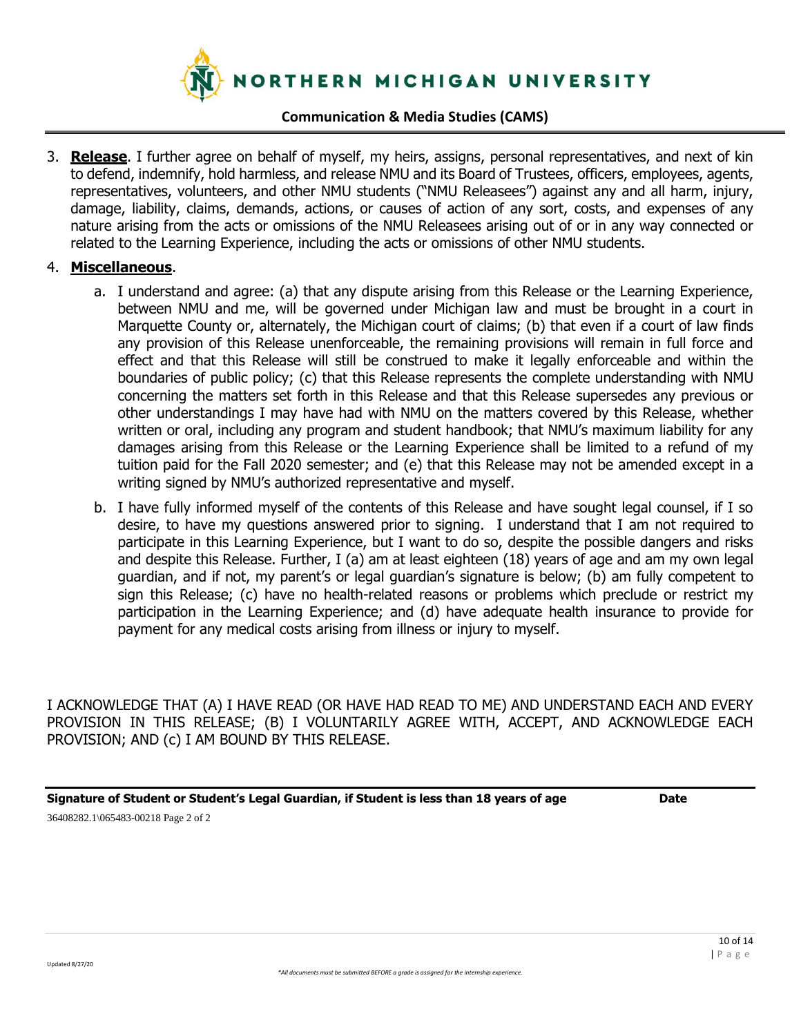

3. **Release**. I further agree on behalf of myself, my heirs, assigns, personal representatives, and next of kin to defend, indemnify, hold harmless, and release NMU and its Board of Trustees, officers, employees, agents, representatives, volunteers, and other NMU students ("NMU Releasees") against any and all harm, injury, damage, liability, claims, demands, actions, or causes of action of any sort, costs, and expenses of any nature arising from the acts or omissions of the NMU Releasees arising out of or in any way connected or related to the Learning Experience, including the acts or omissions of other NMU students.

## 4. **Miscellaneous**.

- a. I understand and agree: (a) that any dispute arising from this Release or the Learning Experience, between NMU and me, will be governed under Michigan law and must be brought in a court in Marquette County or, alternately, the Michigan court of claims; (b) that even if a court of law finds any provision of this Release unenforceable, the remaining provisions will remain in full force and effect and that this Release will still be construed to make it legally enforceable and within the boundaries of public policy; (c) that this Release represents the complete understanding with NMU concerning the matters set forth in this Release and that this Release supersedes any previous or other understandings I may have had with NMU on the matters covered by this Release, whether written or oral, including any program and student handbook; that NMU's maximum liability for any damages arising from this Release or the Learning Experience shall be limited to a refund of my tuition paid for the Fall 2020 semester; and (e) that this Release may not be amended except in a writing signed by NMU's authorized representative and myself.
- b. I have fully informed myself of the contents of this Release and have sought legal counsel, if I so desire, to have my questions answered prior to signing. I understand that I am not required to participate in this Learning Experience, but I want to do so, despite the possible dangers and risks and despite this Release. Further, I (a) am at least eighteen (18) years of age and am my own legal guardian, and if not, my parent's or legal guardian's signature is below; (b) am fully competent to sign this Release; (c) have no health-related reasons or problems which preclude or restrict my participation in the Learning Experience; and (d) have adequate health insurance to provide for payment for any medical costs arising from illness or injury to myself.

I ACKNOWLEDGE THAT (A) I HAVE READ (OR HAVE HAD READ TO ME) AND UNDERSTAND EACH AND EVERY PROVISION IN THIS RELEASE; (B) I VOLUNTARILY AGREE WITH, ACCEPT, AND ACKNOWLEDGE EACH PROVISION; AND (c) I AM BOUND BY THIS RELEASE.

**Signature of Student or Student's Legal Guardian, if Student is less than 18 years of age Date** 36408282.1\065483-00218 Page 2 of 2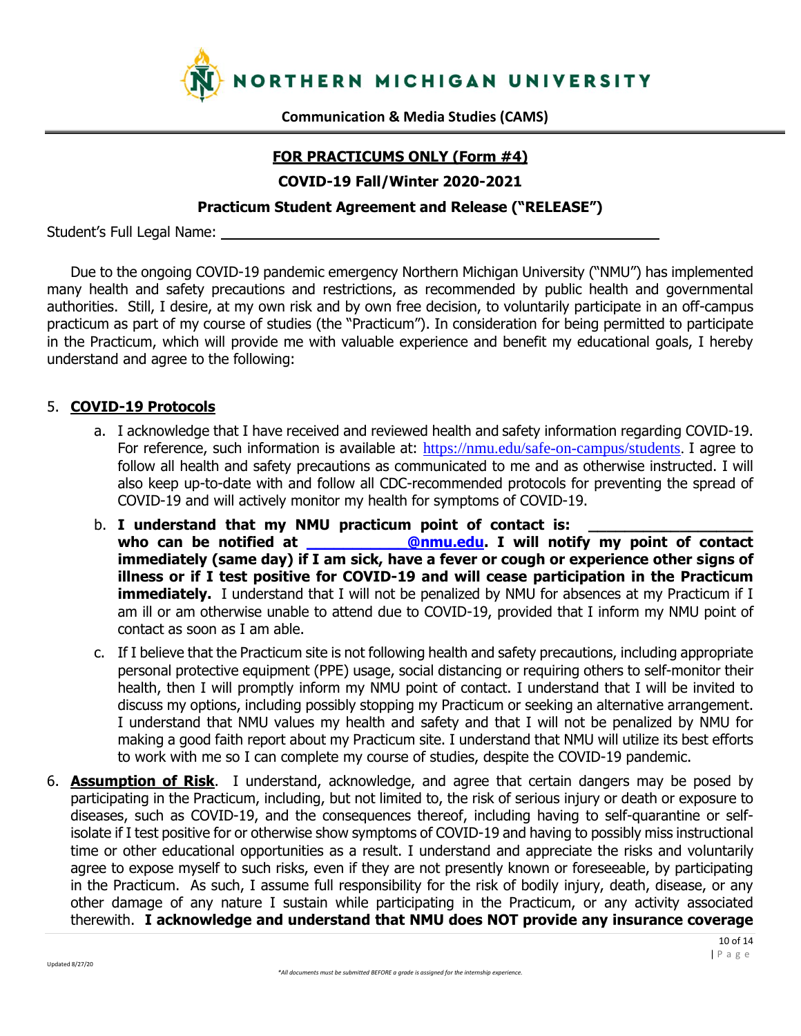

# **FOR PRACTICUMS ONLY (Form #4)**

**COVID-19 Fall/Winter 2020-2021**

## **Practicum Student Agreement and Release ("RELEASE")**

Student's Full Legal Name:

Due to the ongoing COVID-19 pandemic emergency Northern Michigan University ("NMU") has implemented many health and safety precautions and restrictions, as recommended by public health and governmental authorities. Still, I desire, at my own risk and by own free decision, to voluntarily participate in an off-campus practicum as part of my course of studies (the "Practicum"). In consideration for being permitted to participate in the Practicum, which will provide me with valuable experience and benefit my educational goals, I hereby understand and agree to the following:

# 5. **COVID-19 Protocols**

- a. I acknowledge that I have received and reviewed health and safety information regarding COVID-19. For reference, such information is available at: https://nmu.edu/safe-on-campus/students. I agree to follow all health and safety precautions as communicated to me and as otherwise instructed. I will also keep up-to-date with and follow all CDC-recommended protocols for preventing the spread of COVID-19 and will actively monitor my health for symptoms of COVID-19.
- b. I understand that my NMU practicum point of contact is: who can be notified at **\_\_\_\_\_\_\_\_\_\_@nmu.edu.** I will notify my point of contact **immediately (same day) if I am sick, have a fever or cough or experience other signs of illness or if I test positive for COVID-19 and will cease participation in the Practicum immediately.** I understand that I will not be penalized by NMU for absences at my Practicum if I am ill or am otherwise unable to attend due to COVID-19, provided that I inform my NMU point of contact as soon as I am able.
- c. If I believe that the Practicum site is not following health and safety precautions, including appropriate personal protective equipment (PPE) usage, social distancing or requiring others to self-monitor their health, then I will promptly inform my NMU point of contact. I understand that I will be invited to discuss my options, including possibly stopping my Practicum or seeking an alternative arrangement. I understand that NMU values my health and safety and that I will not be penalized by NMU for making a good faith report about my Practicum site. I understand that NMU will utilize its best efforts to work with me so I can complete my course of studies, despite the COVID-19 pandemic.
- 6. **Assumption of Risk**. I understand, acknowledge, and agree that certain dangers may be posed by participating in the Practicum, including, but not limited to, the risk of serious injury or death or exposure to diseases, such as COVID-19, and the consequences thereof, including having to self-quarantine or selfisolate if I test positive for or otherwise show symptoms of COVID-19 and having to possibly miss instructional time or other educational opportunities as a result. I understand and appreciate the risks and voluntarily agree to expose myself to such risks, even if they are not presently known or foreseeable, by participating in the Practicum. As such, I assume full responsibility for the risk of bodily injury, death, disease, or any other damage of any nature I sustain while participating in the Practicum, or any activity associated therewith. **I acknowledge and understand that NMU does NOT provide any insurance coverage**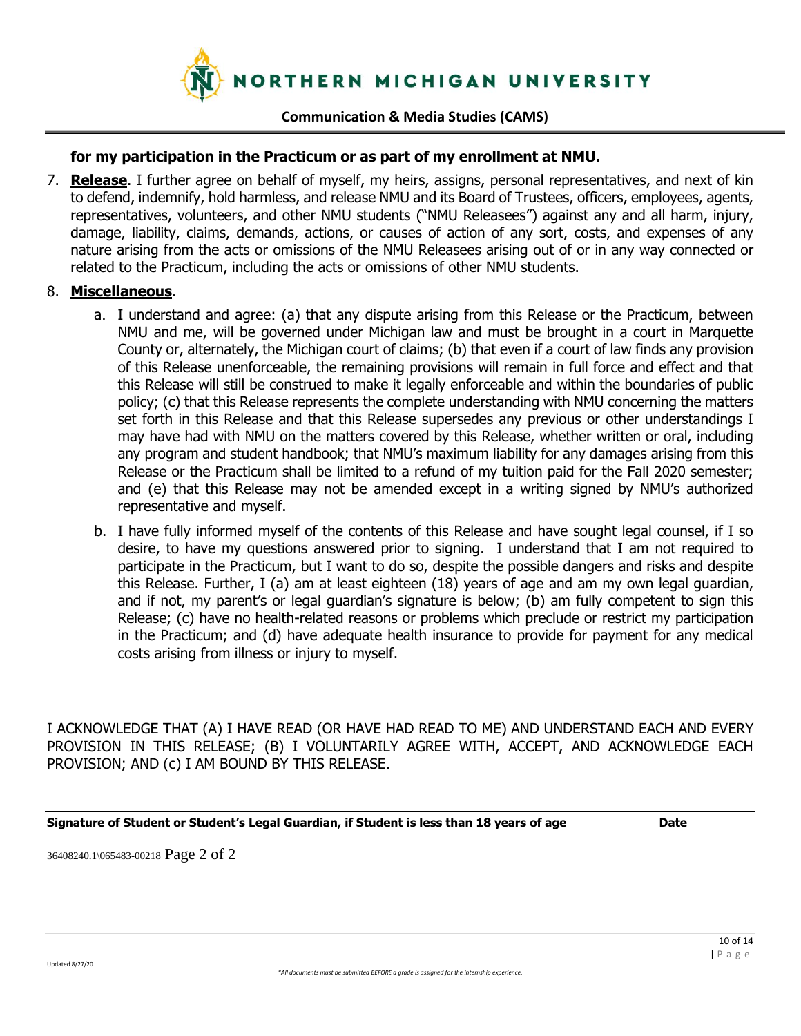

## **for my participation in the Practicum or as part of my enrollment at NMU.**

7. **Release**. I further agree on behalf of myself, my heirs, assigns, personal representatives, and next of kin to defend, indemnify, hold harmless, and release NMU and its Board of Trustees, officers, employees, agents, representatives, volunteers, and other NMU students ("NMU Releasees") against any and all harm, injury, damage, liability, claims, demands, actions, or causes of action of any sort, costs, and expenses of any nature arising from the acts or omissions of the NMU Releasees arising out of or in any way connected or related to the Practicum, including the acts or omissions of other NMU students.

### 8. **Miscellaneous**.

- a. I understand and agree: (a) that any dispute arising from this Release or the Practicum, between NMU and me, will be governed under Michigan law and must be brought in a court in Marquette County or, alternately, the Michigan court of claims; (b) that even if a court of law finds any provision of this Release unenforceable, the remaining provisions will remain in full force and effect and that this Release will still be construed to make it legally enforceable and within the boundaries of public policy; (c) that this Release represents the complete understanding with NMU concerning the matters set forth in this Release and that this Release supersedes any previous or other understandings I may have had with NMU on the matters covered by this Release, whether written or oral, including any program and student handbook; that NMU's maximum liability for any damages arising from this Release or the Practicum shall be limited to a refund of my tuition paid for the Fall 2020 semester; and (e) that this Release may not be amended except in a writing signed by NMU's authorized representative and myself.
- b. I have fully informed myself of the contents of this Release and have sought legal counsel, if I so desire, to have my questions answered prior to signing. I understand that I am not required to participate in the Practicum, but I want to do so, despite the possible dangers and risks and despite this Release. Further, I (a) am at least eighteen (18) years of age and am my own legal guardian, and if not, my parent's or legal guardian's signature is below; (b) am fully competent to sign this Release; (c) have no health-related reasons or problems which preclude or restrict my participation in the Practicum; and (d) have adequate health insurance to provide for payment for any medical costs arising from illness or injury to myself.

I ACKNOWLEDGE THAT (A) I HAVE READ (OR HAVE HAD READ TO ME) AND UNDERSTAND EACH AND EVERY PROVISION IN THIS RELEASE; (B) I VOLUNTARILY AGREE WITH, ACCEPT, AND ACKNOWLEDGE EACH PROVISION; AND (c) I AM BOUND BY THIS RELEASE.

**Signature of Student or Student's Legal Guardian, if Student is less than 18 years of age Date**

36408240.1\065483-00218 Page 2 of 2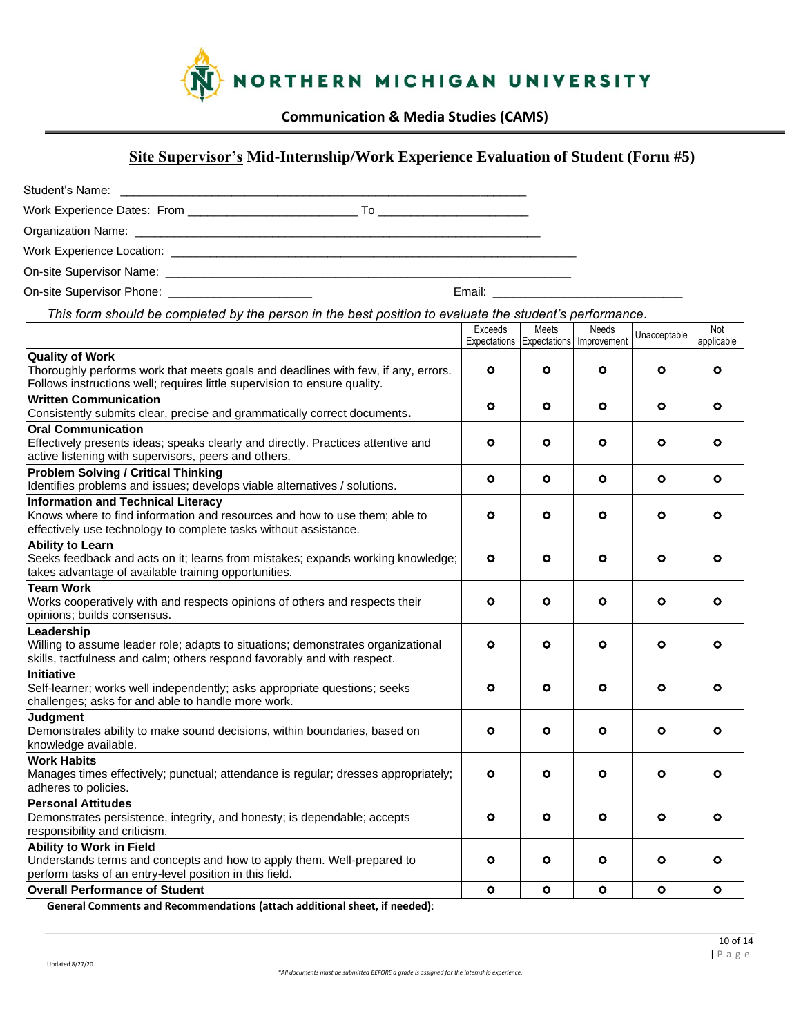

# **Site Supervisor's Mid-Internship/Work Experience Evaluation of Student (Form #5)**

| Student's Name:<br>the contract of the contract of the contract of the contract of |            |
|------------------------------------------------------------------------------------|------------|
| Work Experience Dates: From _________________                                      | $\sqrt{2}$ |
|                                                                                    |            |
| Work Experience Location:                                                          |            |

On-site Supervisor Name: \_\_\_\_\_\_\_\_\_\_\_\_\_\_\_\_\_\_\_\_\_\_\_\_\_\_\_\_\_\_\_\_\_\_\_\_\_\_\_\_\_\_\_\_\_\_\_\_\_\_\_\_\_\_\_\_\_\_\_\_\_\_

On-site Supervisor Phone: \_\_\_\_\_\_\_\_\_\_\_\_\_\_\_\_\_\_\_\_\_\_ Email: \_\_\_\_\_\_\_\_\_\_\_\_\_\_\_\_\_\_\_\_\_\_\_\_\_\_\_\_\_

*This form should be completed by the person in the best position to evaluate the student's performance.* 

|                                                                                                                                                                                             | Exceeds<br>Expectations Expectations | Meets     | <b>Needs</b><br>Improvement | Unacceptable | Not<br>applicable |
|---------------------------------------------------------------------------------------------------------------------------------------------------------------------------------------------|--------------------------------------|-----------|-----------------------------|--------------|-------------------|
| <b>Quality of Work</b><br>Thoroughly performs work that meets goals and deadlines with few, if any, errors.<br>Follows instructions well; requires little supervision to ensure quality.    | $\bullet$                            | o         | ٥                           | O            | $\bullet$         |
| <b>Written Communication</b><br>Consistently submits clear, precise and grammatically correct documents.                                                                                    | $\circ$                              | $\circ$   | $\bullet$                   | O            | $\circ$           |
| <b>Oral Communication</b><br>Effectively presents ideas; speaks clearly and directly. Practices attentive and<br>active listening with supervisors, peers and others.                       | o                                    | o         | ۰                           | o            | ۰                 |
| <b>Problem Solving / Critical Thinking</b><br>Identifies problems and issues; develops viable alternatives / solutions.                                                                     | $\circ$                              | $\circ$   | $\circ$                     | $\circ$      | ۰                 |
| <b>Information and Technical Literacy</b><br>Knows where to find information and resources and how to use them; able to<br>effectively use technology to complete tasks without assistance. | $\circ$                              | $\bullet$ | o                           | $\circ$      | o                 |
| <b>Ability to Learn</b><br>Seeks feedback and acts on it; learns from mistakes; expands working knowledge;<br>takes advantage of available training opportunities.                          | ۰                                    | ۰         | o                           | o            | $\circ$           |
| <b>Team Work</b><br>Works cooperatively with and respects opinions of others and respects their<br>opinions; builds consensus.                                                              | $\circ$                              | $\circ$   | ۰                           | $\circ$      | ۰                 |
| Leadership<br>Willing to assume leader role; adapts to situations; demonstrates organizational<br>skills, tactfulness and calm; others respond favorably and with respect.                  | $\bullet$                            | $\bullet$ | o                           | O            | o                 |
| <b>Initiative</b><br>Self-learner; works well independently; asks appropriate questions; seeks<br>challenges; asks for and able to handle more work.                                        | O                                    | O         | o                           | O            | $\circ$           |
| <b>Judgment</b><br>Demonstrates ability to make sound decisions, within boundaries, based on<br>knowledge available.                                                                        | O                                    | O         | o                           | O            | $\circ$           |
| <b>Work Habits</b><br>Manages times effectively; punctual; attendance is regular; dresses appropriately;<br>adheres to policies.                                                            | $\bullet$                            | o         | o                           | o            | O                 |
| <b>Personal Attitudes</b><br>Demonstrates persistence, integrity, and honesty; is dependable; accepts<br>responsibility and criticism.                                                      | o                                    | o         | o                           | o            | o                 |
| <b>Ability to Work in Field</b><br>Understands terms and concepts and how to apply them. Well-prepared to<br>perform tasks of an entry-level position in this field.                        | o                                    | o         | ۰                           | o            | ۰                 |
| <b>Overall Performance of Student</b>                                                                                                                                                       | $\mathbf{o}$                         | $\bullet$ | $\bullet$                   | $\bullet$    | $\circ$           |

**General Comments and Recommendations (attach additional sheet, if needed)**: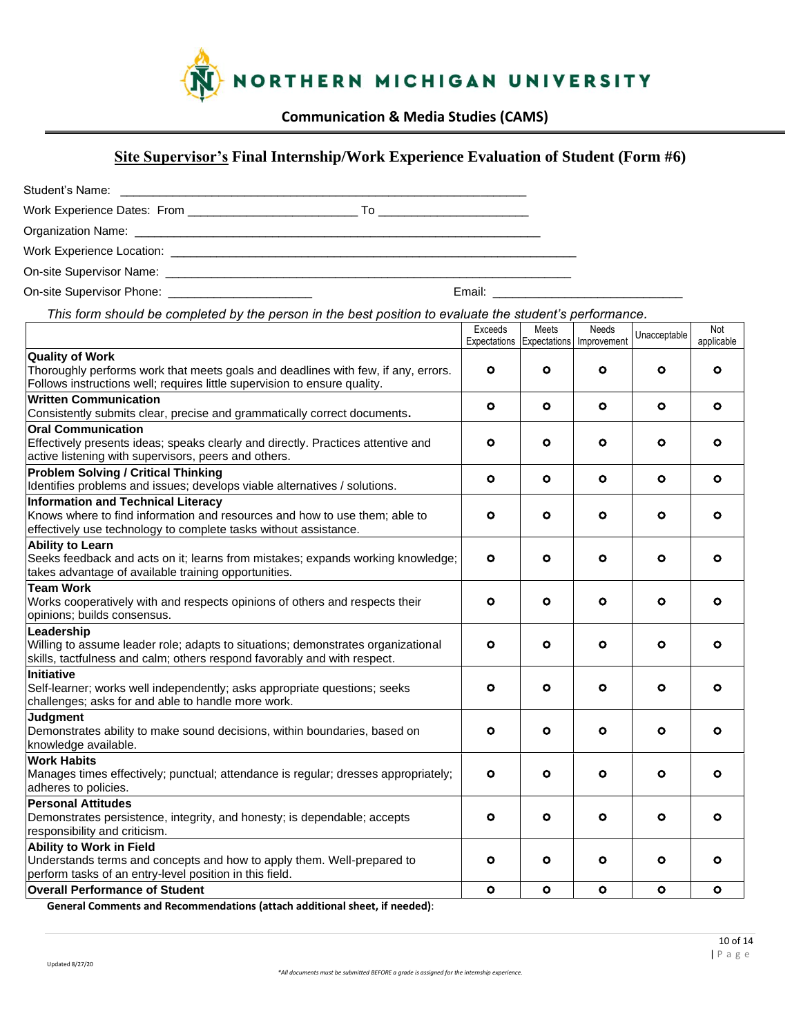

# **Site Supervisor's Final Internship/Work Experience Evaluation of Student (Form #6)**

| Student's Name:                                                                                                                                                                                                                |    |  |
|--------------------------------------------------------------------------------------------------------------------------------------------------------------------------------------------------------------------------------|----|--|
|                                                                                                                                                                                                                                | 10 |  |
|                                                                                                                                                                                                                                |    |  |
| Work Experience Location: Weblack and Contract the Contract of the Contract of the Contract of the Contract of the Contract of the Contract of the Contract of the Contract of the Contract of the Contract of the Contract of |    |  |
|                                                                                                                                                                                                                                |    |  |

On-site Supervisor Phone: \_\_\_\_\_\_\_\_\_\_\_\_\_\_\_\_\_\_\_\_\_\_ Email: \_\_\_\_\_\_\_\_\_\_\_\_\_\_\_\_\_\_\_\_\_\_\_\_\_\_\_\_\_

*This form should be completed by the person in the best position to evaluate the student's performance.* 

|                                                                                    | Exceeds   | Meets     | Needs<br>Expectations Expectations Improvement | Unacceptable | Not<br>applicable |
|------------------------------------------------------------------------------------|-----------|-----------|------------------------------------------------|--------------|-------------------|
| <b>Quality of Work</b>                                                             |           |           |                                                |              |                   |
| Thoroughly performs work that meets goals and deadlines with few, if any, errors.  | $\bullet$ | $\circ$   | ٥                                              | ٥            | $\bullet$         |
| Follows instructions well; requires little supervision to ensure quality.          |           |           |                                                |              |                   |
| <b>Written Communication</b>                                                       | ۰         | $\circ$   | $\circ$                                        | $\bullet$    | O                 |
| Consistently submits clear, precise and grammatically correct documents.           |           |           |                                                |              |                   |
| <b>Oral Communication</b>                                                          |           |           |                                                |              |                   |
| Effectively presents ideas; speaks clearly and directly. Practices attentive and   | o         | $\circ$   | o                                              | ۰            | O                 |
| active listening with supervisors, peers and others.                               |           |           |                                                |              |                   |
| <b>Problem Solving / Critical Thinking</b>                                         | ۰         | $\circ$   | ۰                                              | ۰            | O                 |
| Identifies problems and issues; develops viable alternatives / solutions.          |           |           |                                                |              |                   |
| <b>Information and Technical Literacy</b>                                          |           |           |                                                |              |                   |
| Knows where to find information and resources and how to use them; able to         | $\bullet$ | $\circ$   | O                                              | o            | O                 |
| effectively use technology to complete tasks without assistance.                   |           |           |                                                |              |                   |
| <b>Ability to Learn</b>                                                            |           |           |                                                |              |                   |
| Seeks feedback and acts on it; learns from mistakes; expands working knowledge;    | ۰         | $\circ$   | ٥                                              | ۰            | $\circ$           |
| takes advantage of available training opportunities.                               |           |           |                                                |              |                   |
| <b>Team Work</b>                                                                   |           |           |                                                |              |                   |
| Works cooperatively with and respects opinions of others and respects their        | ۰         | $\circ$   | ٥                                              | ۰            | ۰                 |
| opinions; builds consensus.                                                        |           |           |                                                |              |                   |
| Leadership                                                                         |           |           |                                                |              |                   |
| Willing to assume leader role; adapts to situations; demonstrates organizational   | ۰         | $\circ$   | ٥                                              | o            | o                 |
| skills, tactfulness and calm; others respond favorably and with respect.           |           |           |                                                |              |                   |
| <b>Initiative</b>                                                                  |           |           |                                                |              |                   |
| Self-learner; works well independently; asks appropriate questions; seeks          | o         | $\circ$   | o                                              | o            | $\circ$           |
| challenges; asks for and able to handle more work.                                 |           |           |                                                |              |                   |
| <b>Judgment</b>                                                                    |           |           |                                                |              |                   |
| Demonstrates ability to make sound decisions, within boundaries, based on          | o         | $\circ$   | o                                              | O            | $\circ$           |
| knowledge available.                                                               |           |           |                                                |              |                   |
| <b>Work Habits</b>                                                                 |           |           |                                                |              |                   |
| Manages times effectively; punctual; attendance is regular; dresses appropriately; | o         | $\circ$   | o                                              | o            | o                 |
| adheres to policies.                                                               |           |           |                                                |              |                   |
| <b>Personal Attitudes</b>                                                          |           |           |                                                |              |                   |
| Demonstrates persistence, integrity, and honesty; is dependable; accepts           | o         | $\circ$   | o                                              | $\bullet$    | O                 |
| responsibility and criticism.                                                      |           |           |                                                |              |                   |
| <b>Ability to Work in Field</b>                                                    |           |           |                                                |              |                   |
| Understands terms and concepts and how to apply them. Well-prepared to             | o         | $\circ$   | $\circ$                                        | ۰            | o                 |
| perform tasks of an entry-level position in this field.                            |           |           |                                                |              |                   |
| <b>Overall Performance of Student</b><br>.                                         | $\bullet$ | $\bullet$ | $\bullet$                                      | $\bullet$    | $\bullet$         |

**General Comments and Recommendations (attach additional sheet, if needed)**: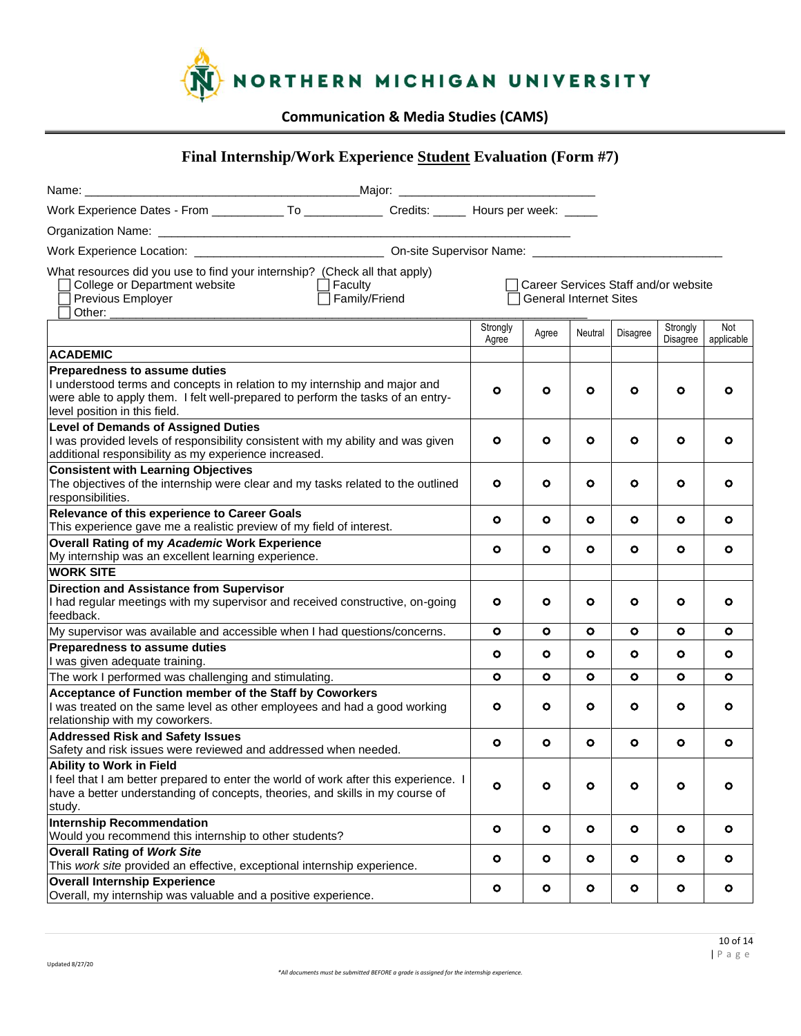

# **Final Internship/Work Experience Student Evaluation (Form #7)**

| Work Experience Dates - From _____________ To _______________ Credits: ______ Hours per week: _____                                                                                                                             |                   |                               |           |           |                                        |                   |
|---------------------------------------------------------------------------------------------------------------------------------------------------------------------------------------------------------------------------------|-------------------|-------------------------------|-----------|-----------|----------------------------------------|-------------------|
|                                                                                                                                                                                                                                 |                   |                               |           |           |                                        |                   |
|                                                                                                                                                                                                                                 |                   |                               |           |           |                                        |                   |
| What resources did you use to find your internship? (Check all that apply)<br>College or Department website<br>$\Box$ Faculty<br>$\Box$ Family/Friend<br>Previous Employer<br>Other:                                            |                   | <b>General Internet Sites</b> |           |           | □ Career Services Staff and/or website |                   |
|                                                                                                                                                                                                                                 | Strongly<br>Agree | Agree                         | Neutral   | Disagree  | Strongly<br>Disagree                   | Not<br>applicable |
| <b>ACADEMIC</b>                                                                                                                                                                                                                 |                   |                               |           |           |                                        |                   |
| Preparedness to assume duties<br>I understood terms and concepts in relation to my internship and major and<br>were able to apply them. I felt well-prepared to perform the tasks of an entry-<br>level position in this field. | o                 | O                             | ٥         | $\circ$   | o                                      | ۰                 |
| <b>Level of Demands of Assigned Duties</b><br>I was provided levels of responsibility consistent with my ability and was given<br>additional responsibility as my experience increased.                                         | $\circ$           | ۰                             | o         | $\circ$   | ۰                                      | o                 |
| <b>Consistent with Learning Objectives</b><br>The objectives of the internship were clear and my tasks related to the outlined<br>responsibilities.                                                                             | $\circ$           | $\circ$                       | ۰         | $\circ$   | o                                      | ۰                 |
| Relevance of this experience to Career Goals<br>This experience gave me a realistic preview of my field of interest.                                                                                                            | ٥                 | O                             | o         | $\circ$   | o                                      | o                 |
| <b>Overall Rating of my Academic Work Experience</b><br>My internship was an excellent learning experience.                                                                                                                     | $\circ$           | $\circ$                       | ۰         | $\circ$   | o                                      | ۰                 |
| <b>WORK SITE</b>                                                                                                                                                                                                                |                   |                               |           |           |                                        |                   |
| <b>Direction and Assistance from Supervisor</b><br>I had regular meetings with my supervisor and received constructive, on-going<br>feedback.                                                                                   | $\circ$           | $\circ$                       | o         | $\bullet$ | o                                      | $\circ$           |
| My supervisor was available and accessible when I had questions/concerns.                                                                                                                                                       | $\bullet$         | $\circ$                       | $\bullet$ | $\bullet$ | $\bullet$                              | ٥                 |
| Preparedness to assume duties<br>I was given adequate training.                                                                                                                                                                 | $\circ$           | o                             | ۰         | $\circ$   | o                                      | o                 |
| The work I performed was challenging and stimulating.                                                                                                                                                                           | $\bullet$         | $\bullet$                     | o         | $\bullet$ | ۰                                      | o                 |
| Acceptance of Function member of the Staff by Coworkers<br>I was treated on the same level as other employees and had a good working<br>relationship with my coworkers.                                                         | ۰                 | $\circ$                       | ۰         | $\circ$   | o                                      | ۰                 |
| <b>Addressed Risk and Safety Issues</b><br>Safety and risk issues were reviewed and addressed when needed.                                                                                                                      | $\circ$           | $\bullet$                     | ۰         | $\bullet$ | $\bullet$                              | $\bullet$         |
| Ability to Work in Field<br>I feel that I am better prepared to enter the world of work after this experience. I<br>have a better understanding of concepts, theories, and skills in my course of<br>study.                     | o                 | $\bullet$                     | ۰         | $\bullet$ | $\bullet$                              | ۰                 |
| Internship Recommendation<br>Would you recommend this internship to other students?                                                                                                                                             | $\bullet$         | $\bullet$                     | $\bullet$ | $\bullet$ | $\bullet$                              | $\bullet$         |
| <b>Overall Rating of Work Site</b><br>This work site provided an effective, exceptional internship experience.                                                                                                                  | $\circ$           | $\bullet$                     | $\bullet$ | $\bullet$ | $\bullet$                              | $\bullet$         |
| <b>Overall Internship Experience</b><br>Overall, my internship was valuable and a positive experience.                                                                                                                          | $\bullet$         | $\bullet$                     | $\bullet$ | $\bullet$ | $\bullet$                              | $\bullet$         |